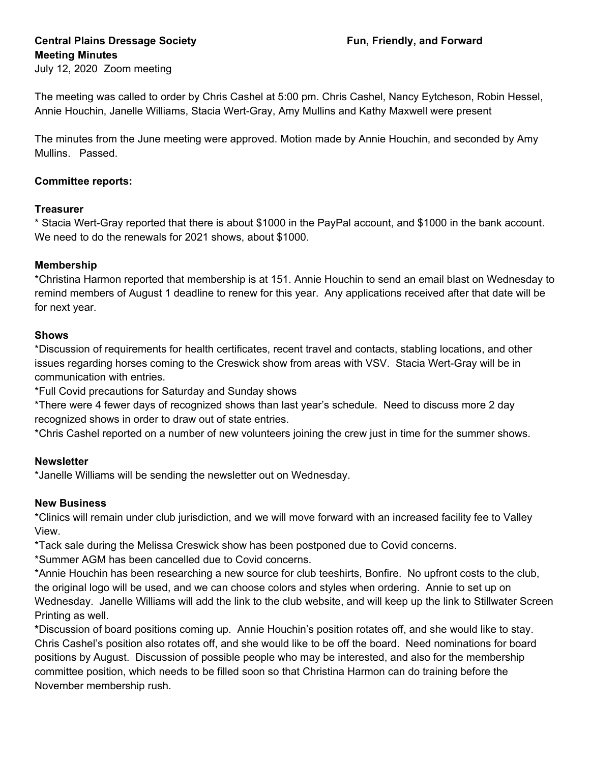# **Central Plains Dressage Society Fun, Friendly, and Forward Meeting Minutes**

July 12, 2020 Zoom meeting

The meeting was called to order by Chris Cashel at 5:00 pm. Chris Cashel, Nancy Eytcheson, Robin Hessel, Annie Houchin, Janelle Williams, Stacia Wert-Gray, Amy Mullins and Kathy Maxwell were present

The minutes from the June meeting were approved. Motion made by Annie Houchin, and seconded by Amy Mullins. Passed.

## **Committee reports:**

## **Treasurer**

\* Stacia Wert-Gray reported that there is about \$1000 in the PayPal account, and \$1000 in the bank account. We need to do the renewals for 2021 shows, about \$1000.

## **Membership**

\*Christina Harmon reported that membership is at 151. Annie Houchin to send an email blast on Wednesday to remind members of August 1 deadline to renew for this year. Any applications received after that date will be for next year.

## **Shows**

\*Discussion of requirements for health certificates, recent travel and contacts, stabling locations, and other issues regarding horses coming to the Creswick show from areas with VSV. Stacia Wert-Gray will be in communication with entries.

\*Full Covid precautions for Saturday and Sunday shows

\*There were 4 fewer days of recognized shows than last year's schedule. Need to discuss more 2 day recognized shows in order to draw out of state entries.

\*Chris Cashel reported on a number of new volunteers joining the crew just in time for the summer shows.

## **Newsletter**

\*Janelle Williams will be sending the newsletter out on Wednesday.

## **New Business**

\*Clinics will remain under club jurisdiction, and we will move forward with an increased facility fee to Valley View.

\*Tack sale during the Melissa Creswick show has been postponed due to Covid concerns.

\*Summer AGM has been cancelled due to Covid concerns.

\*Annie Houchin has been researching a new source for club teeshirts, Bonfire. No upfront costs to the club, the original logo will be used, and we can choose colors and styles when ordering. Annie to set up on Wednesday. Janelle Williams will add the link to the club website, and will keep up the link to Stillwater Screen Printing as well.

**\***Discussion of board positions coming up. Annie Houchin's position rotates off, and she would like to stay. Chris Cashel's position also rotates off, and she would like to be off the board. Need nominations for board positions by August. Discussion of possible people who may be interested, and also for the membership committee position, which needs to be filled soon so that Christina Harmon can do training before the November membership rush.